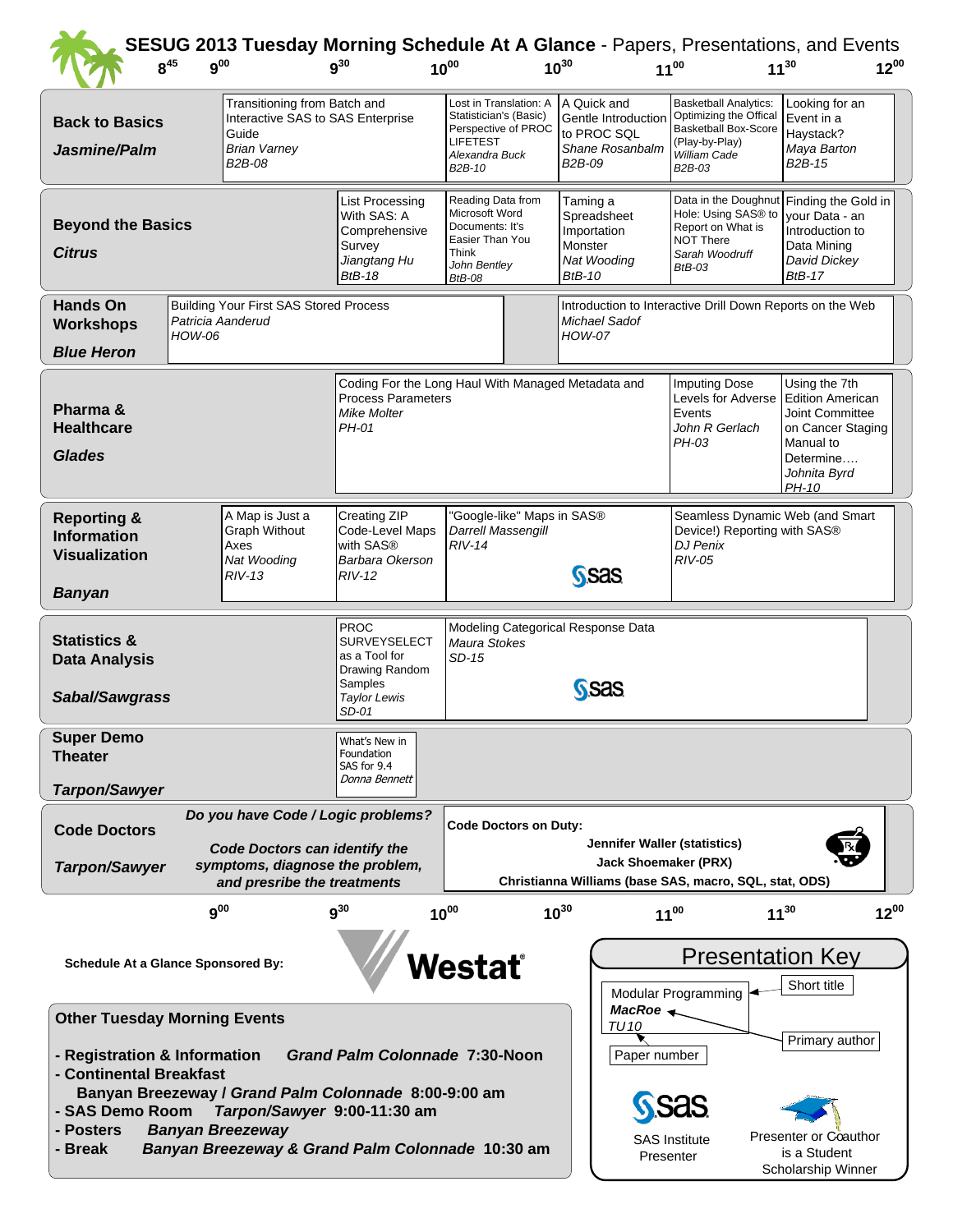| $8^{45}$                                                                                                                                                                                    | $9^{00}$                                                                                                                                | SESUG 2013 Tuesday Morning Schedule At A Glance - Papers, Presentations, and Events | $q^{30}$                                                                                                  | $10^{00}$                                                                                                           |                                                                                           | $10^{30}$                                                                         | $11^{00}$                                                                                                             |                                                                                                                                             | $11^{30}$                                                                                                                           | $12^{00}$ |  |
|---------------------------------------------------------------------------------------------------------------------------------------------------------------------------------------------|-----------------------------------------------------------------------------------------------------------------------------------------|-------------------------------------------------------------------------------------|-----------------------------------------------------------------------------------------------------------|---------------------------------------------------------------------------------------------------------------------|-------------------------------------------------------------------------------------------|-----------------------------------------------------------------------------------|-----------------------------------------------------------------------------------------------------------------------|---------------------------------------------------------------------------------------------------------------------------------------------|-------------------------------------------------------------------------------------------------------------------------------------|-----------|--|
| Transitioning from Batch and<br>Interactive SAS to SAS Enterprise<br><b>Back to Basics</b><br>Guide<br><b>Brian Varney</b><br>Jasmine/Palm<br>B2B-08                                        |                                                                                                                                         |                                                                                     |                                                                                                           | <b>LIFETEST</b><br>B2B-10                                                                                           | Lost in Translation: A<br>Statistician's (Basic)<br>Perspective of PROC<br>Alexandra Buck |                                                                                   | A Quick and<br>Gentle Introduction<br>to PROC SQL<br>Shane Rosanbalm                                                  | <b>Basketball Analytics:</b><br>Optimizing the Offical<br><b>Basketball Box-Score</b><br>(Play-by-Play)<br>William Cade<br>B2B-03           | Looking for an<br>Event in a<br>Haystack?<br>Maya Barton<br>B <sub>2</sub> B-15                                                     |           |  |
| <b>Beyond the Basics</b><br><b>Citrus</b>                                                                                                                                                   |                                                                                                                                         |                                                                                     | <b>List Processing</b><br>With SAS: A<br>Comprehensive<br>Survey<br>Jiangtang Hu<br><b>BtB-18</b>         | Reading Data from<br>Microsoft Word<br>Documents: It's<br>Easier Than You<br>Think<br>John Bentley<br><b>BtB-08</b> |                                                                                           | Taming a<br>Spreadsheet<br>Importation<br>Monster<br>Nat Wooding<br><b>BtB-10</b> |                                                                                                                       | Data in the Doughnut Finding the Gold in<br>Hole: Using SAS® to<br>Report on What is<br><b>NOT There</b><br>Sarah Woodruff<br><b>BtB-03</b> | vour Data - an<br>Introduction to<br>Data Mining<br>David Dickey<br><b>BtB-17</b>                                                   |           |  |
| <b>Hands On</b><br><b>Workshops</b><br><b>Blue Heron</b>                                                                                                                                    | HOW-06                                                                                                                                  | <b>Building Your First SAS Stored Process</b><br>Patricia Aanderud                  |                                                                                                           |                                                                                                                     |                                                                                           | <b>HOW-07</b>                                                                     | Introduction to Interactive Drill Down Reports on the Web<br>Michael Sadof                                            |                                                                                                                                             |                                                                                                                                     |           |  |
| Pharma &<br><b>Healthcare</b><br><b>Glades</b>                                                                                                                                              |                                                                                                                                         |                                                                                     | Coding For the Long Haul With Managed Metadata and<br><b>Process Parameters</b><br>Mike Molter<br>PH-01   |                                                                                                                     |                                                                                           |                                                                                   |                                                                                                                       | <b>Imputing Dose</b><br>Levels for Adverse<br>Events<br>John R Gerlach<br>PH-03                                                             | Using the 7th<br><b>Edition American</b><br>Joint Committee<br>on Cancer Staging<br>Manual to<br>Determine<br>Johnita Byrd<br>PH-10 |           |  |
| A Map is Just a<br><b>Reporting &amp;</b><br><b>Graph Without</b><br><b>Information</b><br>Axes<br><b>Visualization</b><br>Nat Wooding<br>$RIV-13$<br><b>Banyan</b>                         |                                                                                                                                         |                                                                                     | Creating ZIP<br>Code-Level Maps<br>with SAS <sup>®</sup><br>Barbara Okerson<br>RIV-12                     | "Google-like" Maps in SAS®<br>Darrell Massengill<br>$RIV-14$<br>S <sub>Sas</sub>                                    |                                                                                           |                                                                                   |                                                                                                                       | Seamless Dynamic Web (and Smart<br>Device!) Reporting with SAS®<br><b>DJ Penix</b><br>$RIV-05$                                              |                                                                                                                                     |           |  |
| <b>Statistics &amp;</b><br><b>Data Analysis</b><br>Sabal/Sawgrass                                                                                                                           |                                                                                                                                         |                                                                                     | <b>PROC</b><br><b>SURVEYSELECT</b><br>as a Tool for<br>Drawing Random<br>Samples<br>Taylor Lewis<br>SD-01 | Modeling Categorical Response Data<br>Maura Stokes<br>SD-15<br><b>SSAS</b>                                          |                                                                                           |                                                                                   |                                                                                                                       |                                                                                                                                             |                                                                                                                                     |           |  |
| <b>Super Demo</b><br><b>Theater</b><br><b>Tarpon/Sawyer</b>                                                                                                                                 |                                                                                                                                         |                                                                                     | What's New in<br>Foundation<br>SAS for 9.4<br>Donna Bennett                                               |                                                                                                                     |                                                                                           |                                                                                   |                                                                                                                       |                                                                                                                                             |                                                                                                                                     |           |  |
| Do you have Code / Logic problems?<br><b>Code Doctors</b><br><b>Code Doctors can identify the</b><br>symptoms, diagnose the problem,<br><b>Tarpon/Sawyer</b><br>and presribe the treatments |                                                                                                                                         |                                                                                     | <b>Code Doctors on Duty:</b>                                                                              |                                                                                                                     |                                                                                           |                                                                                   | Jennifer Waller (statistics)<br><b>Jack Shoemaker (PRX)</b><br>Christianna Williams (base SAS, macro, SQL, stat, ODS) |                                                                                                                                             |                                                                                                                                     |           |  |
|                                                                                                                                                                                             | $9^{00}$                                                                                                                                |                                                                                     | $9^{30}$                                                                                                  | $10^{00}$                                                                                                           |                                                                                           | $10^{30}$                                                                         | $11^{00}$                                                                                                             |                                                                                                                                             | $11^{30}$                                                                                                                           | $12^{00}$ |  |
| <b>Schedule At a Glance Sponsored By:</b>                                                                                                                                                   |                                                                                                                                         |                                                                                     |                                                                                                           |                                                                                                                     | <b>Nestat</b>                                                                             |                                                                                   |                                                                                                                       | <b>Presentation Key</b><br>Short title<br>Modular Programming                                                                               |                                                                                                                                     |           |  |
| <b>Other Tuesday Morning Events</b><br><b>Grand Palm Colonnade 7:30-Noon</b><br>- Registration & Information<br>- Continental Breakfast                                                     |                                                                                                                                         |                                                                                     |                                                                                                           |                                                                                                                     |                                                                                           |                                                                                   |                                                                                                                       | MacRoe $\leftarrow$<br><b>TU10</b><br>Primary author<br>Paper number                                                                        |                                                                                                                                     |           |  |
| - SAS Demo Room<br>- Posters<br><b>Banyan Breezeway</b><br>- Break                                                                                                                          | Banyan Breezeway / Grand Palm Colonnade 8:00-9:00 am<br>Tarpon/Sawyer 9:00-11:30 am<br>Banyan Breezeway & Grand Palm Colonnade 10:30 am |                                                                                     |                                                                                                           |                                                                                                                     | Presenter                                                                                 | <b>SAS Institute</b>                                                              | Presenter or Coauthor<br>is a Student<br>Scholarship Winner                                                           |                                                                                                                                             |                                                                                                                                     |           |  |